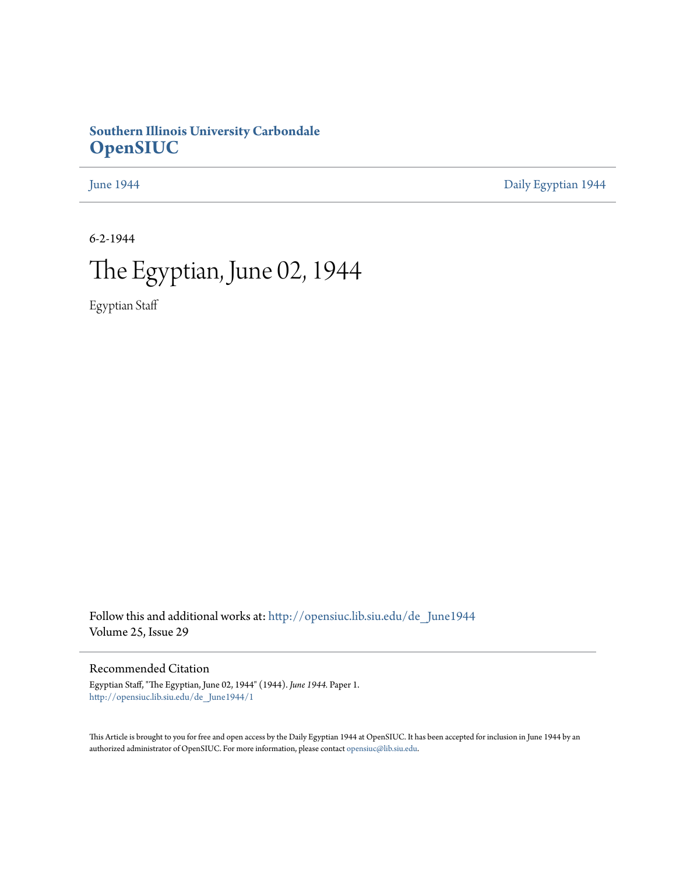### **Southern Illinois University Carbondale [OpenSIUC](http://opensiuc.lib.siu.edu?utm_source=opensiuc.lib.siu.edu%2Fde_June1944%2F1&utm_medium=PDF&utm_campaign=PDFCoverPages)**

[June 1944](http://opensiuc.lib.siu.edu/de_June1944?utm_source=opensiuc.lib.siu.edu%2Fde_June1944%2F1&utm_medium=PDF&utm_campaign=PDFCoverPages) [Daily Egyptian 1944](http://opensiuc.lib.siu.edu/de_1944?utm_source=opensiuc.lib.siu.edu%2Fde_June1944%2F1&utm_medium=PDF&utm_campaign=PDFCoverPages)

6-2-1944

# The Egyptian, June 02, 1944

Egyptian Staff

Follow this and additional works at: [http://opensiuc.lib.siu.edu/de\\_June1944](http://opensiuc.lib.siu.edu/de_June1944?utm_source=opensiuc.lib.siu.edu%2Fde_June1944%2F1&utm_medium=PDF&utm_campaign=PDFCoverPages) Volume 25, Issue 29

Recommended Citation

Egyptian Staff, "The Egyptian, June 02, 1944" (1944). *June 1944.* Paper 1. [http://opensiuc.lib.siu.edu/de\\_June1944/1](http://opensiuc.lib.siu.edu/de_June1944/1?utm_source=opensiuc.lib.siu.edu%2Fde_June1944%2F1&utm_medium=PDF&utm_campaign=PDFCoverPages)

This Article is brought to you for free and open access by the Daily Egyptian 1944 at OpenSIUC. It has been accepted for inclusion in June 1944 by an authorized administrator of OpenSIUC. For more information, please contact [opensiuc@lib.siu.edu](mailto:opensiuc@lib.siu.edu).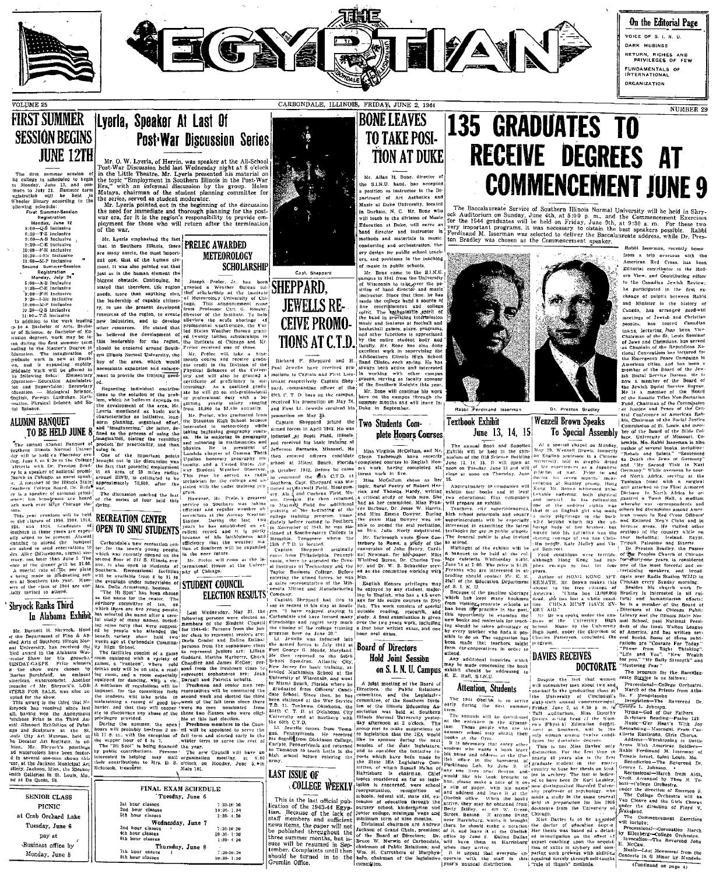



On the Editorial Page VOICE OF S. I. N. U. DARK MUBINGS RETURN, RICHES AND<br>PRIVILEGES OF FEW FUNDAMENTALS OF<br>INTERNATIONAL **ORGANIZATION** 

from a trip overseas with the

Editorial contributor to the Mod-

ern View, and Contributing editor

American Red Cross, has

NUMBER 29

### **FIRST SUMMER** Lyerla, Speaker At Last Of **SESSION BEGINS JUNE 12TH**

**VOLUME 25** 

The first summer acasion

The first summar session of<br>the first summar session of segments and conduct the model of segment<br>and conduct of segments to July 21. Summar term<br>must to July 21. Summar term<br>freedom will be held in freedom: <br>First Summar 1:00-M-P Inclusive<br>|1:00-M-P Inclusive<br>|ccond Summer-Session

**Post War Discussion Series** 

Mr. O. W. Lyerla, of Herrin, was speaker at the All-School-<br>Post-War Discussion belo later We choole in the Little Theorem big later the School-<br>in the Little Theorem big later the choice in the term of the top infinity.<br>

METEOROLOGY

**SCHOLARSHIP** 

Mr. Lyerla emphasized the fact **PRELEC AWARDED** are many assets, the most importment. It was also nointed out that just so is the human element the

|                  | FINAL EXAM SCHEDULE |                |
|------------------|---------------------|----------------|
|                  | Tuesday, June 6     |                |
| 1st hour classes |                     | $7:30-10:30$   |
| 2nd hour classes |                     | $10:30-1:30$   |
| 5th hour classes |                     | $1:30-4:30$    |
|                  | Wednesday, June 7   |                |
| 3nd hour classes |                     | $7:30-10:30$   |
| 4th hour classes |                     | $10:30 - 1:30$ |
| 6th hour classes |                     | $1:30 - 4:30$  |
|                  | Thursday, June 8    | ٠              |
| 7th nour casses  |                     | 7:30-10:30     |
| 8th hour classes |                     | $10:30 - 1:30$ |

CARBONDALE, ILLINOIS, FRIDAY, JUNE 2, 1944

# **BONÉ LEAVES TO TAKE POSI-TION AT DUKE**

Mr. Allan H. Bone. director of the S.I.N.U. band, has accepted a position as instructor in the Dosartment of Art Asthetics and Music at Duke University, located in Dorham, N. C. Mr. Bone who will teach in the division of Music Education at Duke, will serve as hand director and instructor in .....<br>nothodo and materials in music conducting and orchestration, the ory design for public school teach and problems in the leaching

of music in public schools.

Mr. Bone came to the S.J.N.U.<br>ampus in 1941 from the University

# **135 GRADUATES TO RECEIVE DEGREES AT COMMENCEMENT JUNE 9**

The Baccalaureate Service of Southern Illinois Normal University will be held in Shry-<br>ock Auditorium on Sunday, June 4th, at 5:00 p. m., and the Commencement Exercises<br>for the 1844 graduates will be held on Friday, June



Figure to the anti-matrix than 11 year and the set in the set in the set in the set in the set in the set in the set in the set in the set in the set in the set in the set in the set in the set in the set in the set in th



Capt. Sheppard

 $\hat{\mathbf{r}}$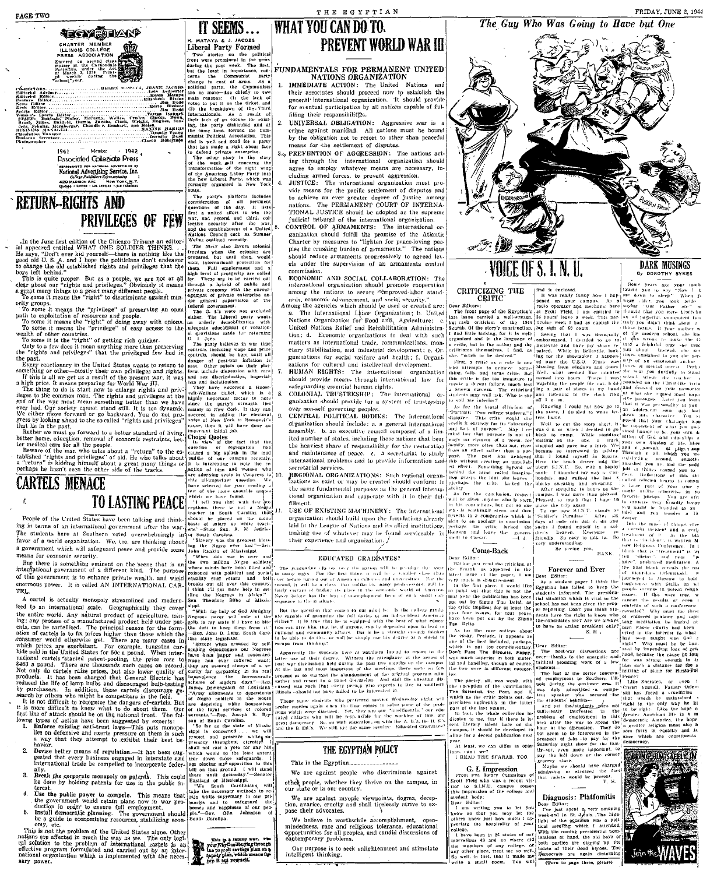**DARK MUSINGS** 

**6y DOROTHY SYKES** 

### The Guy Who Was Going to Have but One



ight, имен-<br>Melen.<br>MAXINE HABILES<br>Doualle Young

1942 Member 1041 **Pussocialed Collegiate Press** FIFTING TO CONTROL ADVERTISING BY AND STATIONS OF MATIONAL ADVERTISING SETTING BY AND HAND CONTROL TO A CONTROL THE CHARGES OF THE CHARGES OF THE CHARGES OF THE CHARGES OF THE CHARGES OF THE CHARGES OF THE CHARGES OF THE C

### **RETURN-RIGHTS AND PRIVILEGES OF FEW**

FANY HERMED ST FET IS and the second set of the set of the set of the set of the set of the set of the set of the set of the set of the set of the set of the set of the set of the set of the set of the set of the set of t



**UPIRATELES INTERFACE**<br>
For of the more unotable question of the contractions in the same of the UNITENCE of the United States have been talking and this in the case of the United States have been talking and this change

FIGURE 2017 (1 is called AN INTERNATIONAL U.S.K.<br>
FIGURE 2017 (1 is the second to the control is a state of the second to the second to the second to the second to the second to the second to the second to the second to t

- 
- 
- 
- 
- 

# H. MATAYA & J. JACOBS<br>Liberal Party Formed

**Propose Controller Controller Controller Controller Controller Controller Controller Controller Controller Controller Controller Controller Controller Controller Controller Controller Controller Controller Controller Con**  $\ddot{\phantom{0}}$ 

IT SEEMS...

Form of the state of the state of the state of the state of the state of the state of the state of the state of the state of the state of the state of the state of the state of the state of the state of the state of the s

 $\mathbf{a}$ 

### **WHAT YOU CAN DO TO. PREVENT WORLD WAR III**

# FUNDAMENTALS FOR PERMANENT UNITED<br>NATIONS ORGANIZATION

THE EGYPTIAN

1. IMMEDIATE ACTION: The United Nations and<br>their associates should proceed now to establish the general international organization. It should provide for eventual participation by all nations capable of fulfilling their responsibilities.

nume one representing the UNIVERSAL OBLIGATION: Aggressive war is a<br>crime against mankind. All nations must be bound<br>by the obligation not to resort to other than peaceful<br>means for the settlement of disputes.

3.4 PREVENTION OF AGGRESSION: The nations acting through the international organization should<br>agree to employ whatever means are necessary, including armed forces, to prevent aggression.<br>JUSTICE: The international organization must pro-

vide means for the pacific settlement of disputes and to schieve an ever greater degree of justice among nations. The PERMANENT COURT OF INTERNA-<br>TIONAL JUSTICE should be adopted as the supreme judicial tribunal of the international organization.

CONTROL OF ARMAMENTS: The international or CONTROL OF ARMAMENTS: The International origanization should fulfill the promise of the Atlantic<br>Charter by measures to "lighten for peace-loving peoples the crushing burden of armaments." The nations should reduce armaments progressively to agreed levels under the supervision of an armaments control commission

commission.<br>
S. RCONOMIC AND SOCIAL COLLABORATION: The<br>
international organization should promote cooperation<br>
international organization should promote cooperation<br>
anong the nations to secure wimproved-labor stand-<br>
ano

The graduation shows as two COMMANDS CONSTANTS of the product the product of the first third in the product of the first third, a real both of the first third, and the constant in which we can be even the product of the pr

sequence to the statution that connect to entriminal by . Its the college gradies of the state in the state of a state of the state of the state of the state of the state of the state of the state of the state of the stat

**Example 10** Intervalse the state of the state of the state of the latter unit of the latter unit of the latter and the state of the state of the state of the state of the state of the state of the state of the matter of

Three same strength is the preferred movies Wednesday inicht will Three same studients who preferred movies Wednesday inicht profer movies agains when the time comes and solve same of the product and the product state of

This is the Egyptian.................

We are against people who discriminate against other people, whether they thrive on the campus, in our state or in our country.

We are against myopic viewpoints, dogma, deception, avarice, cruelty and shall tirelessly strive to expose their advocates.

We helieve in worthwhile accomplishment, open-mindedness, race and religious tolerance, educational spp<br>ortunities for all peoples, and candid discussions of sphortunities for all peoples, and candid discussions of<br> $\,$ 

Our purpose is to seek enlightenment and stimulate<br>intelligent thinking.

G. I. Impression

pay the non-<br>
store,<br>
Maybe we should have charged<br>
admission or stressed the fact<br>
that cadets would be present.<br>
T. S.

G. I. Impression of calculation of the fact of the fact for the fact of the counterpart of the second term of the counterpart of the counterpart of the counterpart of the counterpart of the counterpart of the counterpart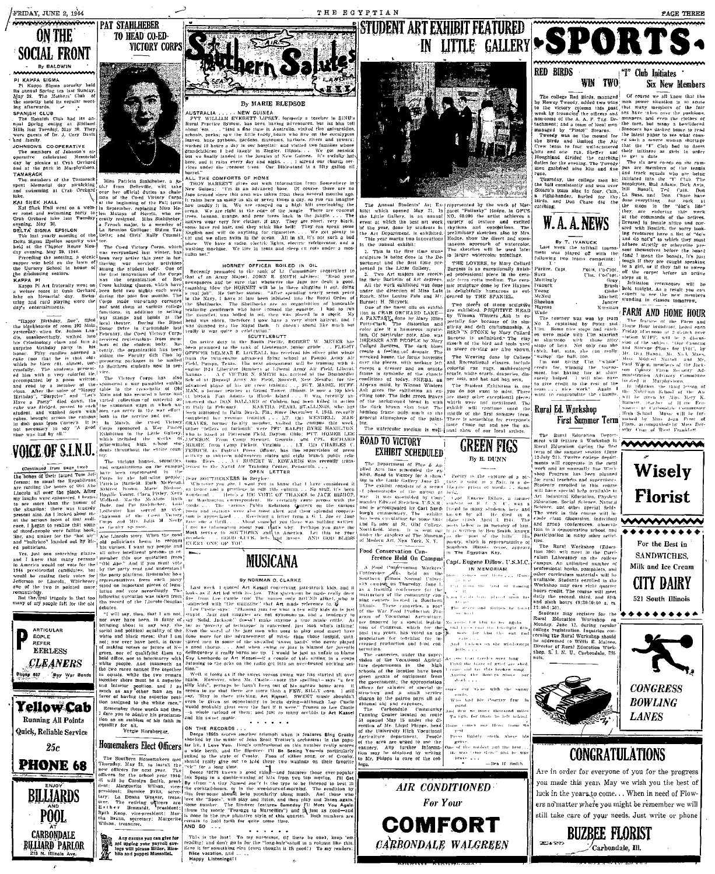### **ON THE SOCIAL FRONT**

By BALDWIN nninninn

KAPPA SIGMA<br>KAPPA SIGMA<br>L Keppa Sigma sorority PI KAPPA Summa sprofty held<br>
1's annual Spring tea last Summary<br>
1's and Spring tea last Summary<br>
May 28. The Mothers' Club of<br>
the sorotiv held its regular meet<br>
ing afterwards.<br>
SPANJSH Club had its an-<br>
nual Spring outi  $\overline{1}$ 

SHEK HALL<br>| Shek Hall went on a weln-<br>ast and swimming party to<br>| Qrehard lake last Tuesday

ded, passed to each washed down with ie campus|ho<br>∵8. – 11 is|<br>∴A – good – c∍

 $\label{eq:Q1} \underbrace{\mathbf{W}}_{\mathbf{M}}\left(\begin{matrix}\mathbf{Q}\mathbf{F},\mathbf{Q}\mathbf{F},\mathbf{S},\mathbf{M},\mathbf{M}\end{matrix}\right) = \left\{ \begin{matrix} \text{with the finite Gairer,}\\ \text{with the initial other of the system} \\ \text{the initial of the system} \\ \text{the initial of the system} \\ \text{the initial of the system} \\ \text{the final of the system} \\ \text{the final of the system} \\ \text{the final of the system} \\ \text{the final of the system} \\ \text{the final of the system} \\ \text{the final of the system} \\ \text{the final of the system} \\ \text{the final of the system} \\ \$ 

na, which we

emanticelity.<br>But the freal tragedy is that too<br>any of my people fall for the old





шшиу.<br>180616 со оверат!Уб

The second of the Termsters of the Termsters of the Termsters of the Termsters of the Termsters of the Termsters of the Coed Victor Certain and the Coed Victor Certain and the Certain of the Certain and the Certain of the

s Corps sponsore<br>| Exhibition in 1<br>| which included noosed a re

n, Ruth MeFeron.<br>
Mare Bleboe, an he<br>
Thra Pistey, Neva wond<br>
a McAfone Ruth car i<br>
Stabilever, Lois! pools<br>
served as vice;<br>
perced as vice;<br>
perced Mcorry posts<br>
in Good Mcorry (and )<br>
...

adentically are failing however  $\left[\begin{array}{c} 1.88 & 5.0 \times 10^{11} \text{ yr}^{-1} \text{ m}^{-1} \text{ cm}^{-1} \text{ cm}^{-1} \text{ cm}^{-1} \text{ cm}^{-1} \text{ cm}^{-1} \text{ cm}^{-1} \text{ cm}^{-1} \text{ cm}^{-1} \text{ cm}^{-1} \text{ cm}^{-1} \text{ cm}^{-1} \text{ cm}^{-1} \text{ cm}^{-1} \text{ cm}^{-1} \text{ cm}^{-1} \text{ cm}^{-1} \text{ cm}^{-1} \text{ cm}^{-1}$ Whichever repre<br>inted more stood manual Diplomatic pieces of Jegue 1 Last week 1 quoted<br>al on linguistic accordingly. The house and vote agent if Art led William<br>overlap quotation was taken from a free from Lee Caatle<br>record of the Lincoln-Douglas connect *Followine* 

a favor of suy Soli<br>way, the tar as 't<br>lity of the Even the nollical caughty white and black races: that I am done ∷nor e<br>making rouers or jurors of N+1<br>of qualityler them<br>not to intermarry with<br>pie. And jansmuch as<br>ces cannot live together<br>while the two remain<br>here must be a superior position  $\frac{m}{2}$ ing the superior posi assigned to the white race. Remember these words and then<br>dare you to admire his proclama-<br>on as an emblem of his faith in

party<br>Jegus<br>The

Any excuse you can give for<br>got upping your payroli sav-<br>lags will please Hitler, Hiro-<br>blio and puppei Mussolial,

lern 2

By MARIE BLEDSOE

NEW GUINEA<br>
VERETT LIPSEY, formerly a teacher<br>
The has been having adventures, but it .<br>Ing adventures, but let him tel<br>patralia, visited two universities<br>ears who live on the eucalyptus our output and Stephen Monday and Stephen Monday and Stephen Monday and Stephen Control and Stephen Control and Stephen Tennes Control and Stephen Control and Stephen Control and Stephen Control and Stephen Control and Ste  $\frac{1}{2}$ L"<br>The comearts of Home

ALL THE COMPONERS OF HONE of the SUC ALL THEORY GUINE (NEW GUINE 2). The in an advanced base. Class of the state of the state of the state of the state of the state of the state of the state of the state of the state of t owe<br>with information

 $\text{HORM}(T)$  of FICER BOILED IN OIL (Separate to the rank of 1.1 Communiter (equivalent to the rank of the rank of the separate of the separate to the separate to the separate in the separate in the separate in the separate  $-34$ have a very short haircut, and

compete and the set of the set of the set of the set of the set of the set of the set of the set of the set of the set of the set of the set of the set of the set of the set of the set of the set of the set of the set of r e.R. - nas<br>- FLIGHT Field, Libera stu- MOORE from Camp Pickett, Virginia . . . 1.<br>Press Officer, has the ties CHARLES O s, as District Press Officer, has the supervision of pressure in this<br>pervision of pressure is the supervision of pressure in the supervision of pressure<br>the set in A ROBERT W. EDWARDS was recently transfer the Naval Air T

In the control of the control of the control of the control of the control of the control of the control of the control of the control of the control of the control of the control of the control of the control of the contr

**Variou** ... Receiving a letter from a G. 1, Joe or Jane<br>about some of you there was nothing written<br>about you. Battle with ...<br>about you that why. Perhaps you gave the<br>"HeRIX" and to America. Let this be your<br>"H.T.CK. ieds high la

# **MUSICANA**

### By NORMAN O. CLARKE

uoted Art Kassel concerning jazz-struck kids<br>d with his jaw. This statement he mode real<br>astle tho! The names only SOUND alike).

u, aacsom, worset ma<br>noverty of technique' is<br>- wotsl of the jazz men<br>re for the advancement Thai or ever have been in favor pured men in some of the<br>ding voters or jurors of  $N \neq 0$  a good chorus.... And w **SWPH** so-called i good chorus<br>lelinquency it 100.00

Well, it looks as if the again. silly kids", perhaps he hasn't heen out of his narrow rven ar<br>masta m and his sweet music

when it features Bing Crosb "s orchestral in the population of the same that the core eting You-is particularly<br>eting You-is particularly<br>different or of Crosbs

**ITOIDEE THE SOLUTION EXECTS** we well with the two-singular particles and the stress of the Solution of the Solution of the stress of Crossby. Panel and the stress of the stress of the stress of the stress of the stress o

This is the hast. To my successor, (if there he one), it reading: and don't go in for the "hang-hair" stuff in a column Eare it for something cise (even thought it IS good!) To my Nice vacation, and ...<br>Happy Listenings!!



**STUDENT ART EXHIBIT FEATURED** 

he Annual Students' Art Ex-<br>It which opened May 21, In<br>Little Gallery, is an annual<br>Bit at which the best art work,<br>the year, done by students in represented by the represented by the work of Material Care in OPU:<br>Solomon the artist achieves in OPU:<br>No. 60,000 the artist achieves<br>variety of texture and excite<br>rhythms and oppolytions. The preliminary sketches, also by Mrs<br>Hodge, show the direct and spor avhibitad thouse, show the direct and s<br>
The sketches will be used 1<br>
The sketches will be used 1<br>
in larger watercolor paintings. watercolo Tota

> iver 118<br>NGC 118 ring.

**GREEN FIGS** 

By B. DHNN

15 M

in The Egyptian Key.

IN MEMORIAM

This is the first time ston<br>ure is being done in the Da nrst time ston<br>done in the De<br>first time pre<br>tle Gallery, THE LOVERS, by Mary Collard and Scheme and professional plece in the ceraz.<br>Tacais

annual exhibit:

THE EGYPTIAN

nguse mit still<br>' of å tt dagraa mic terra cotta meatum, The cerr<br>mic sculpture done by Dee Hayne work exhibited was done the direction Lul delightfully denced by THE SPANIEL

the forms hovering ornate

### **ROAD TO VICTORY EXHIBIT SCHEDULED**

Department of Flue & Ap-<br>Aris has scheduled the ex-<br>Road to Victory for a show-<br>the fattle Gallery June 25

sur rasse trans<br>exhibit constan bhotography of .<br>embled Edward Stetchen accompanied by C.<br>commentary. The<br>en cuculating for so Carl Sand plane die. der the auspices of The<br>Modern Art, New York

Food Conservation Conference Held On Campus A Pood Confervation Workers'<br>'onterence was held on the<br>outbern Minois Normal Univer-

outhern pinnos Normal Universed to the compute on Thursday, Jang-Jang-<br>Sa a training on Tenestary and Saturetory of the community can<br>inter enters located in Southern<br>thinks: - These computes, a part<br>of the War Food Produc a pai<br>on Pr

Carbondale ......<br>Communit

the di



**COMFORT** 

CARBONDALE WALGREEN

 $\begin{tabular}{l|c|c|c} & Mattu.\\ \hline & Mautu.\\ \hline & Nautu.\\ \hline & Sheckian\\ & MSMel\\ & NHolu.\\ \hline & NHolu.\\ \hline & NHolu.\\ \hline & NHolu.\\ \hline & NHolu.\\ \hline & NHolu.\\ \hline & NHolu.\\ \hline & NHolu.\\ \hline & NHolu.\\ \hline & NHolu.\\ \hline & NHolu.\\ \hline & NHolu.\\ \hline & NHolu.\\ \hline & NHolu.\\ \hline & NHolu.\\ \hline & NHolu.\\ \hline & NHolu.\\ \$ FARM AND HOME HOUR The feature of the Form and<br>The feature of the Form and<br>House Hour broadcast, heard each<br>Friday afternoon at 2 a'clack over at shortstop with those aftry <sup>1</sup><sup>50</sup> and shortstop of the same state is an above that the first care of the first of the first particular of the first particular the first particular the particular of the particular the I'lm "whole"<br>Ig the toprope<br>Ier at short<br>Will also nave  $\frac{1}{2}$  minihelped. 1 win and 1<br>eredit to the rest of the se, any fact and mg sets,<br>Student Exhibition is one<br>any other exceptional piece<br>any other exceptional piece<br>Were not mentioned, The<br>t will continue until the.  $10$   $e$ ive team . . . sice work! Again

Rural Ed. Workshop

The Rural Education Depa **MAMMMMA** dents enrolled in this course<br>have special help available in<br>Didustrial Education, Physical eation, Social Science, Natura<br>ence, and other special fields<br>\* work in this course will in oup conteress.<br>a demostration ma a creata ....<br>The Rural Workshop (Educ) ion 390) will meet in the Curri<br>blum Laboratory on the college<br>ampus, An unlimited number of

Capt. Eugene Dillow. U.S.M.O pal books, pamphlets, and re curriculum materials will be<br>in curriculum materials will be<br>itshen was... Ä. he second, third, and fifth<br>Kth hours (9:30-10:50 n. m.

22:00-1:381 22.00-1:30),<br>
Students may recister for the<br>
Students may recister for the<br>
Rural Education Workshop on<br>
Monday, June 12, during regular<br>
colloge registration, Inquiries con-<br>
cerning the Rural Workshop should<br>
be addresse



**CONGRESS BOWLING LANES** 

### **CONGRATULATIONS**

Are in order for everyone of you for the progress you made this year. May we wish you the best of luck in the years to come... When in need of Flowers no'matter where you might be remember we will still take care of your needs. Just write or phone



PACE THREE

**Six New Members** 

"I" Club Initiates

 $W$  LPF

### **RED BIRDS** WIN TWO

**ALLO JAMPO**<br>
The college Red Birds managed of rours w. all Million Red Event in the state of the state of the state of the state of the state of the state of the state of the state of the state of the position of the sta

Fenced by THE SPANIEL,<br>revealing the scalar series of the scalar series exhibited. PRIMITIVE HEAD<br>py Willman Watters, Aski is series of the simple of the simple<br>lifety and deficient for the same series and the series of th ollard es were made with<br>clay at shortstop with sketch of the bird and tools used<br>in store conting are also shown.<br>The Weaving done by College<br>and Recreational classes, include<br>colorful rate rugs, multicolored<br>scarfs, white starts, imperies, din-<br>ther sets, and hat and

Hele School

First Summer Term Flora, accompanied by Miss Jean Fr



Milk and Ice Cream **CITY DAIRY** 521 South Illinois